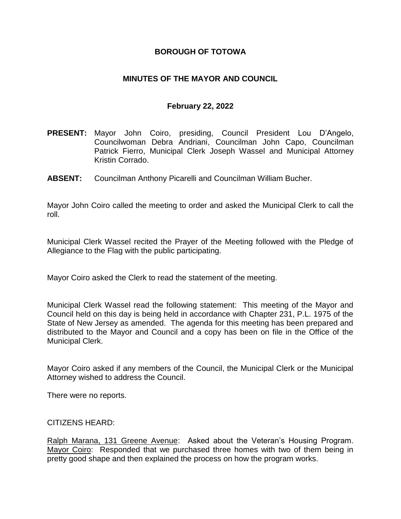### **BOROUGH OF TOTOWA**

### **MINUTES OF THE MAYOR AND COUNCIL**

### **February 22, 2022**

- **PRESENT:** Mayor John Coiro, presiding, Council President Lou D'Angelo, Councilwoman Debra Andriani, Councilman John Capo, Councilman Patrick Fierro, Municipal Clerk Joseph Wassel and Municipal Attorney Kristin Corrado.
- **ABSENT:** Councilman Anthony Picarelli and Councilman William Bucher.

Mayor John Coiro called the meeting to order and asked the Municipal Clerk to call the roll.

Municipal Clerk Wassel recited the Prayer of the Meeting followed with the Pledge of Allegiance to the Flag with the public participating.

Mayor Coiro asked the Clerk to read the statement of the meeting.

Municipal Clerk Wassel read the following statement: This meeting of the Mayor and Council held on this day is being held in accordance with Chapter 231, P.L. 1975 of the State of New Jersey as amended. The agenda for this meeting has been prepared and distributed to the Mayor and Council and a copy has been on file in the Office of the Municipal Clerk.

Mayor Coiro asked if any members of the Council, the Municipal Clerk or the Municipal Attorney wished to address the Council.

There were no reports.

### CITIZENS HEARD:

Ralph Marana, 131 Greene Avenue: Asked about the Veteran's Housing Program. Mayor Coiro: Responded that we purchased three homes with two of them being in pretty good shape and then explained the process on how the program works.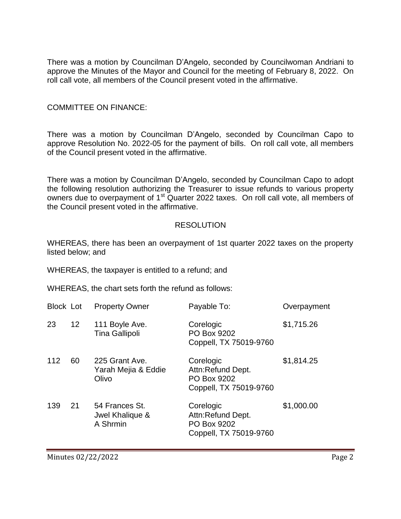There was a motion by Councilman D'Angelo, seconded by Councilwoman Andriani to approve the Minutes of the Mayor and Council for the meeting of February 8, 2022. On roll call vote, all members of the Council present voted in the affirmative.

### COMMITTEE ON FINANCE:

There was a motion by Councilman D'Angelo, seconded by Councilman Capo to approve Resolution No. 2022-05 for the payment of bills. On roll call vote, all members of the Council present voted in the affirmative.

There was a motion by Councilman D'Angelo, seconded by Councilman Capo to adopt the following resolution authorizing the Treasurer to issue refunds to various property owners due to overpayment of 1<sup>st</sup> Quarter 2022 taxes. On roll call vote, all members of the Council present voted in the affirmative.

#### RESOLUTION

WHEREAS, there has been an overpayment of 1st quarter 2022 taxes on the property listed below; and

WHEREAS, the taxpayer is entitled to a refund; and

WHEREAS, the chart sets forth the refund as follows:

| <b>Block Lot</b> |                 | <b>Property Owner</b>                          | Payable To:                                                             | Overpayment |
|------------------|-----------------|------------------------------------------------|-------------------------------------------------------------------------|-------------|
| 23               | 12 <sup>2</sup> | 111 Boyle Ave.<br><b>Tina Gallipoli</b>        | Corelogic<br>PO Box 9202<br>Coppell, TX 75019-9760                      | \$1,715.26  |
| 112              | 60              | 225 Grant Ave.<br>Yarah Mejia & Eddie<br>Olivo | Corelogic<br>Attn:Refund Dept.<br>PO Box 9202<br>Coppell, TX 75019-9760 | \$1,814.25  |
| 139              | 21              | 54 Frances St.<br>Jwel Khalique &<br>A Shrmin  | Corelogic<br>Attn:Refund Dept.<br>PO Box 9202<br>Coppell, TX 75019-9760 | \$1,000.00  |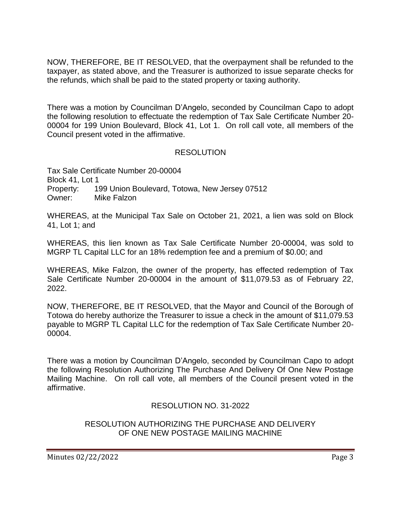NOW, THEREFORE, BE IT RESOLVED, that the overpayment shall be refunded to the taxpayer, as stated above, and the Treasurer is authorized to issue separate checks for the refunds, which shall be paid to the stated property or taxing authority.

There was a motion by Councilman D'Angelo, seconded by Councilman Capo to adopt the following resolution to effectuate the redemption of Tax Sale Certificate Number 20- 00004 for 199 Union Boulevard, Block 41, Lot 1. On roll call vote, all members of the Council present voted in the affirmative.

# RESOLUTION

Tax Sale Certificate Number 20-00004 Block 41, Lot 1 Property: 199 Union Boulevard, Totowa, New Jersey 07512 Owner: Mike Falzon

WHEREAS, at the Municipal Tax Sale on October 21, 2021, a lien was sold on Block 41, Lot 1; and

WHEREAS, this lien known as Tax Sale Certificate Number 20-00004, was sold to MGRP TL Capital LLC for an 18% redemption fee and a premium of \$0.00; and

WHEREAS, Mike Falzon, the owner of the property, has effected redemption of Tax Sale Certificate Number 20-00004 in the amount of \$11,079.53 as of February 22, 2022.

NOW, THEREFORE, BE IT RESOLVED, that the Mayor and Council of the Borough of Totowa do hereby authorize the Treasurer to issue a check in the amount of \$11,079.53 payable to MGRP TL Capital LLC for the redemption of Tax Sale Certificate Number 20- 00004.

There was a motion by Councilman D'Angelo, seconded by Councilman Capo to adopt the following Resolution Authorizing The Purchase And Delivery Of One New Postage Mailing Machine. On roll call vote, all members of the Council present voted in the affirmative.

RESOLUTION NO. 31-2022

### RESOLUTION AUTHORIZING THE PURCHASE AND DELIVERY OF ONE NEW POSTAGE MAILING MACHINE

Minutes 02/22/2022 **Page 3**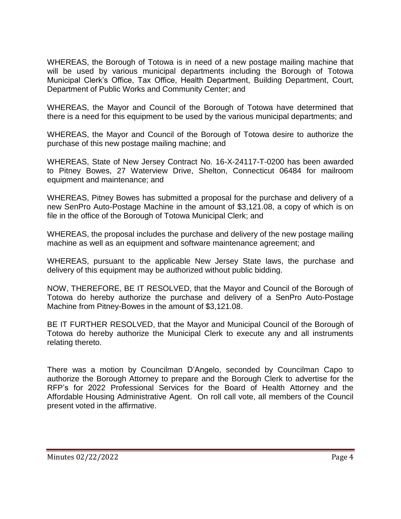WHEREAS, the Borough of Totowa is in need of a new postage mailing machine that will be used by various municipal departments including the Borough of Totowa Municipal Clerk's Office, Tax Office, Health Department, Building Department, Court, Department of Public Works and Community Center; and

WHEREAS, the Mayor and Council of the Borough of Totowa have determined that there is a need for this equipment to be used by the various municipal departments; and

WHEREAS, the Mayor and Council of the Borough of Totowa desire to authorize the purchase of this new postage mailing machine; and

WHEREAS, State of New Jersey Contract No. 16-X-24117-T-0200 has been awarded to Pitney Bowes, 27 Waterview Drive, Shelton, Connecticut 06484 for mailroom equipment and maintenance; and

WHEREAS, Pitney Bowes has submitted a proposal for the purchase and delivery of a new SenPro Auto-Postage Machine in the amount of \$3,121.08, a copy of which is on file in the office of the Borough of Totowa Municipal Clerk; and

WHEREAS, the proposal includes the purchase and delivery of the new postage mailing machine as well as an equipment and software maintenance agreement; and

WHEREAS, pursuant to the applicable New Jersey State laws, the purchase and delivery of this equipment may be authorized without public bidding.

NOW, THEREFORE, BE IT RESOLVED, that the Mayor and Council of the Borough of Totowa do hereby authorize the purchase and delivery of a SenPro Auto-Postage Machine from Pitney-Bowes in the amount of \$3,121.08.

BE IT FURTHER RESOLVED, that the Mayor and Municipal Council of the Borough of Totowa do hereby authorize the Municipal Clerk to execute any and all instruments relating thereto.

There was a motion by Councilman D'Angelo, seconded by Councilman Capo to authorize the Borough Attorney to prepare and the Borough Clerk to advertise for the RFP's for 2022 Professional Services for the Board of Health Attorney and the Affordable Housing Administrative Agent. On roll call vote, all members of the Council present voted in the affirmative.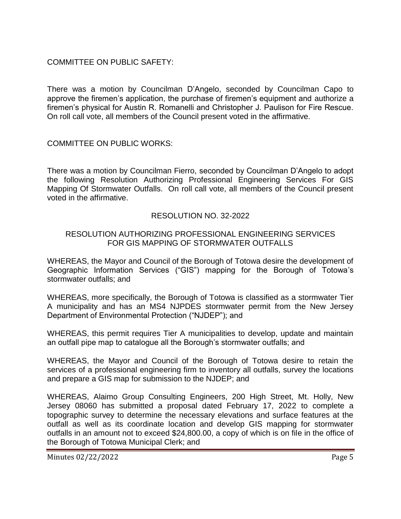COMMITTEE ON PUBLIC SAFETY:

There was a motion by Councilman D'Angelo, seconded by Councilman Capo to approve the firemen's application, the purchase of firemen's equipment and authorize a firemen's physical for Austin R. Romanelli and Christopher J. Paulison for Fire Rescue. On roll call vote, all members of the Council present voted in the affirmative.

COMMITTEE ON PUBLIC WORKS:

There was a motion by Councilman Fierro, seconded by Councilman D'Angelo to adopt the following Resolution Authorizing Professional Engineering Services For GIS Mapping Of Stormwater Outfalls. On roll call vote, all members of the Council present voted in the affirmative.

# RESOLUTION NO. 32-2022

### RESOLUTION AUTHORIZING PROFESSIONAL ENGINEERING SERVICES FOR GIS MAPPING OF STORMWATER OUTFALLS

WHEREAS, the Mayor and Council of the Borough of Totowa desire the development of Geographic Information Services ("GIS") mapping for the Borough of Totowa's stormwater outfalls; and

WHEREAS, more specifically, the Borough of Totowa is classified as a stormwater Tier A municipality and has an MS4 NJPDES stormwater permit from the New Jersey Department of Environmental Protection ("NJDEP"); and

WHEREAS, this permit requires Tier A municipalities to develop, update and maintain an outfall pipe map to catalogue all the Borough's stormwater outfalls; and

WHEREAS, the Mayor and Council of the Borough of Totowa desire to retain the services of a professional engineering firm to inventory all outfalls, survey the locations and prepare a GIS map for submission to the NJDEP; and

WHEREAS, Alaimo Group Consulting Engineers, 200 High Street, Mt. Holly, New Jersey 08060 has submitted a proposal dated February 17, 2022 to complete a topographic survey to determine the necessary elevations and surface features at the outfall as well as its coordinate location and develop GIS mapping for stormwater outfalls in an amount not to exceed \$24,800.00, a copy of which is on file in the office of the Borough of Totowa Municipal Clerk; and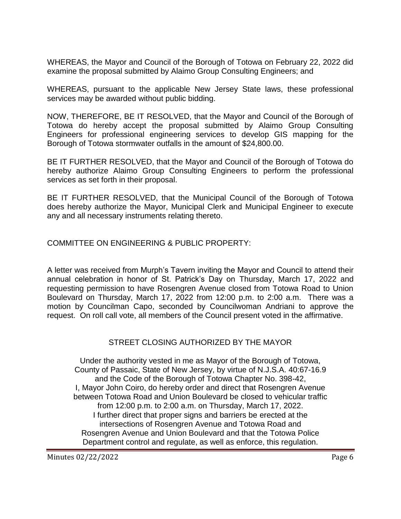WHEREAS, the Mayor and Council of the Borough of Totowa on February 22, 2022 did examine the proposal submitted by Alaimo Group Consulting Engineers; and

WHEREAS, pursuant to the applicable New Jersey State laws, these professional services may be awarded without public bidding.

NOW, THEREFORE, BE IT RESOLVED, that the Mayor and Council of the Borough of Totowa do hereby accept the proposal submitted by Alaimo Group Consulting Engineers for professional engineering services to develop GIS mapping for the Borough of Totowa stormwater outfalls in the amount of \$24,800.00.

BE IT FURTHER RESOLVED, that the Mayor and Council of the Borough of Totowa do hereby authorize Alaimo Group Consulting Engineers to perform the professional services as set forth in their proposal.

BE IT FURTHER RESOLVED, that the Municipal Council of the Borough of Totowa does hereby authorize the Mayor, Municipal Clerk and Municipal Engineer to execute any and all necessary instruments relating thereto.

COMMITTEE ON ENGINEERING & PUBLIC PROPERTY:

A letter was received from Murph's Tavern inviting the Mayor and Council to attend their annual celebration in honor of St. Patrick's Day on Thursday, March 17, 2022 and requesting permission to have Rosengren Avenue closed from Totowa Road to Union Boulevard on Thursday, March 17, 2022 from 12:00 p.m. to 2:00 a.m. There was a motion by Councilman Capo, seconded by Councilwoman Andriani to approve the request. On roll call vote, all members of the Council present voted in the affirmative.

# STREET CLOSING AUTHORIZED BY THE MAYOR

Under the authority vested in me as Mayor of the Borough of Totowa, County of Passaic, State of New Jersey, by virtue of N.J.S.A. 40:67-16.9 and the Code of the Borough of Totowa Chapter No. 398-42, I, Mayor John Coiro, do hereby order and direct that Rosengren Avenue between Totowa Road and Union Boulevard be closed to vehicular traffic from 12:00 p.m. to 2:00 a.m. on Thursday, March 17, 2022. I further direct that proper signs and barriers be erected at the intersections of Rosengren Avenue and Totowa Road and Rosengren Avenue and Union Boulevard and that the Totowa Police Department control and regulate, as well as enforce, this regulation.

Minutes 02/22/2022 **Page 6**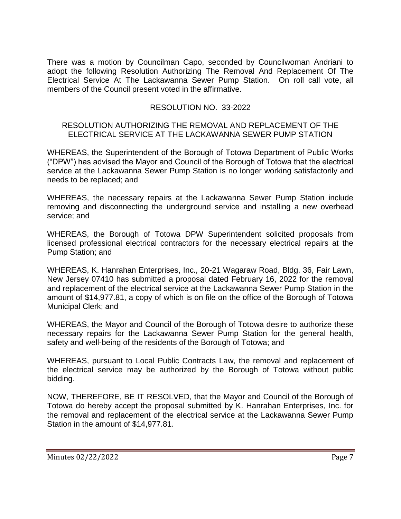There was a motion by Councilman Capo, seconded by Councilwoman Andriani to adopt the following Resolution Authorizing The Removal And Replacement Of The Electrical Service At The Lackawanna Sewer Pump Station. On roll call vote, all members of the Council present voted in the affirmative.

### RESOLUTION NO. 33-2022

#### RESOLUTION AUTHORIZING THE REMOVAL AND REPLACEMENT OF THE ELECTRICAL SERVICE AT THE LACKAWANNA SEWER PUMP STATION

WHEREAS, the Superintendent of the Borough of Totowa Department of Public Works ("DPW") has advised the Mayor and Council of the Borough of Totowa that the electrical service at the Lackawanna Sewer Pump Station is no longer working satisfactorily and needs to be replaced; and

WHEREAS, the necessary repairs at the Lackawanna Sewer Pump Station include removing and disconnecting the underground service and installing a new overhead service; and

WHEREAS, the Borough of Totowa DPW Superintendent solicited proposals from licensed professional electrical contractors for the necessary electrical repairs at the Pump Station; and

WHEREAS, K. Hanrahan Enterprises, Inc., 20-21 Wagaraw Road, Bldg. 36, Fair Lawn, New Jersey 07410 has submitted a proposal dated February 16, 2022 for the removal and replacement of the electrical service at the Lackawanna Sewer Pump Station in the amount of \$14,977.81, a copy of which is on file on the office of the Borough of Totowa Municipal Clerk; and

WHEREAS, the Mayor and Council of the Borough of Totowa desire to authorize these necessary repairs for the Lackawanna Sewer Pump Station for the general health, safety and well-being of the residents of the Borough of Totowa; and

WHEREAS, pursuant to Local Public Contracts Law, the removal and replacement of the electrical service may be authorized by the Borough of Totowa without public bidding.

NOW, THEREFORE, BE IT RESOLVED, that the Mayor and Council of the Borough of Totowa do hereby accept the proposal submitted by K. Hanrahan Enterprises, Inc. for the removal and replacement of the electrical service at the Lackawanna Sewer Pump Station in the amount of \$14,977.81.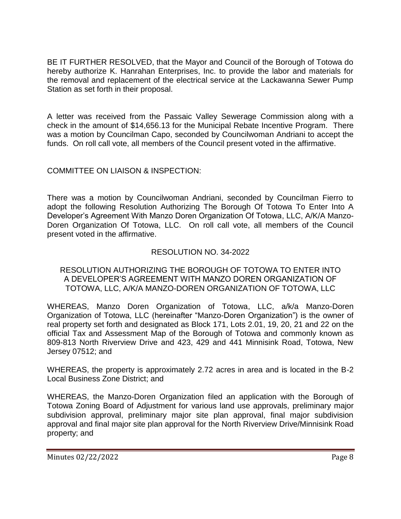BE IT FURTHER RESOLVED, that the Mayor and Council of the Borough of Totowa do hereby authorize K. Hanrahan Enterprises, Inc. to provide the labor and materials for the removal and replacement of the electrical service at the Lackawanna Sewer Pump Station as set forth in their proposal.

A letter was received from the Passaic Valley Sewerage Commission along with a check in the amount of \$14,656.13 for the Municipal Rebate Incentive Program. There was a motion by Councilman Capo, seconded by Councilwoman Andriani to accept the funds. On roll call vote, all members of the Council present voted in the affirmative.

# COMMITTEE ON LIAISON & INSPECTION:

There was a motion by Councilwoman Andriani, seconded by Councilman Fierro to adopt the following Resolution Authorizing The Borough Of Totowa To Enter Into A Developer's Agreement With Manzo Doren Organization Of Totowa, LLC, A/K/A Manzo-Doren Organization Of Totowa, LLC. On roll call vote, all members of the Council present voted in the affirmative.

# RESOLUTION NO. 34-2022

### RESOLUTION AUTHORIZING THE BOROUGH OF TOTOWA TO ENTER INTO A DEVELOPER'S AGREEMENT WITH MANZO DOREN ORGANIZATION OF TOTOWA, LLC, A/K/A MANZO-DOREN ORGANIZATION OF TOTOWA, LLC

WHEREAS, Manzo Doren Organization of Totowa, LLC, a/k/a Manzo-Doren Organization of Totowa, LLC (hereinafter "Manzo-Doren Organization") is the owner of real property set forth and designated as Block 171, Lots 2.01, 19, 20, 21 and 22 on the official Tax and Assessment Map of the Borough of Totowa and commonly known as 809-813 North Riverview Drive and 423, 429 and 441 Minnisink Road, Totowa, New Jersey 07512; and

WHEREAS, the property is approximately 2.72 acres in area and is located in the B-2 Local Business Zone District; and

WHEREAS, the Manzo-Doren Organization filed an application with the Borough of Totowa Zoning Board of Adjustment for various land use approvals, preliminary major subdivision approval, preliminary major site plan approval, final major subdivision approval and final major site plan approval for the North Riverview Drive/Minnisink Road property; and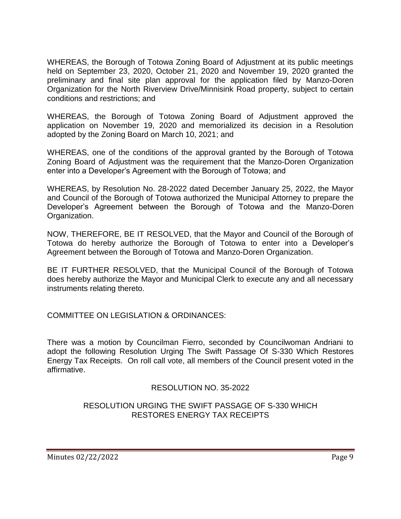WHEREAS, the Borough of Totowa Zoning Board of Adjustment at its public meetings held on September 23, 2020, October 21, 2020 and November 19, 2020 granted the preliminary and final site plan approval for the application filed by Manzo-Doren Organization for the North Riverview Drive/Minnisink Road property, subject to certain conditions and restrictions; and

WHEREAS, the Borough of Totowa Zoning Board of Adjustment approved the application on November 19, 2020 and memorialized its decision in a Resolution adopted by the Zoning Board on March 10, 2021; and

WHEREAS, one of the conditions of the approval granted by the Borough of Totowa Zoning Board of Adjustment was the requirement that the Manzo-Doren Organization enter into a Developer's Agreement with the Borough of Totowa; and

WHEREAS, by Resolution No. 28-2022 dated December January 25, 2022, the Mayor and Council of the Borough of Totowa authorized the Municipal Attorney to prepare the Developer's Agreement between the Borough of Totowa and the Manzo-Doren Organization.

NOW, THEREFORE, BE IT RESOLVED, that the Mayor and Council of the Borough of Totowa do hereby authorize the Borough of Totowa to enter into a Developer's Agreement between the Borough of Totowa and Manzo-Doren Organization.

BE IT FURTHER RESOLVED, that the Municipal Council of the Borough of Totowa does hereby authorize the Mayor and Municipal Clerk to execute any and all necessary instruments relating thereto.

COMMITTEE ON LEGISLATION & ORDINANCES:

There was a motion by Councilman Fierro, seconded by Councilwoman Andriani to adopt the following Resolution Urging The Swift Passage Of S-330 Which Restores Energy Tax Receipts. On roll call vote, all members of the Council present voted in the affirmative.

# RESOLUTION NO. 35-2022

# RESOLUTION URGING THE SWIFT PASSAGE OF S-330 WHICH RESTORES ENERGY TAX RECEIPTS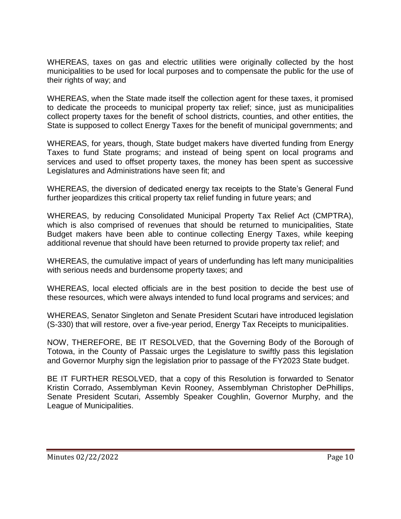WHEREAS, taxes on gas and electric utilities were originally collected by the host municipalities to be used for local purposes and to compensate the public for the use of their rights of way; and

WHEREAS, when the State made itself the collection agent for these taxes, it promised to dedicate the proceeds to municipal property tax relief; since, just as municipalities collect property taxes for the benefit of school districts, counties, and other entities, the State is supposed to collect Energy Taxes for the benefit of municipal governments; and

WHEREAS, for years, though, State budget makers have diverted funding from Energy Taxes to fund State programs; and instead of being spent on local programs and services and used to offset property taxes, the money has been spent as successive Legislatures and Administrations have seen fit; and

WHEREAS, the diversion of dedicated energy tax receipts to the State's General Fund further jeopardizes this critical property tax relief funding in future years; and

WHEREAS, by reducing Consolidated Municipal Property Tax Relief Act (CMPTRA), which is also comprised of revenues that should be returned to municipalities, State Budget makers have been able to continue collecting Energy Taxes, while keeping additional revenue that should have been returned to provide property tax relief; and

WHEREAS, the cumulative impact of years of underfunding has left many municipalities with serious needs and burdensome property taxes; and

WHEREAS, local elected officials are in the best position to decide the best use of these resources, which were always intended to fund local programs and services; and

WHEREAS, Senator Singleton and Senate President Scutari have introduced legislation (S-330) that will restore, over a five-year period, Energy Tax Receipts to municipalities.

NOW, THEREFORE, BE IT RESOLVED, that the Governing Body of the Borough of Totowa, in the County of Passaic urges the Legislature to swiftly pass this legislation and Governor Murphy sign the legislation prior to passage of the FY2023 State budget.

BE IT FURTHER RESOLVED, that a copy of this Resolution is forwarded to Senator Kristin Corrado, Assemblyman Kevin Rooney, Assemblyman Christopher DePhillips, Senate President Scutari, Assembly Speaker Coughlin, Governor Murphy, and the League of Municipalities.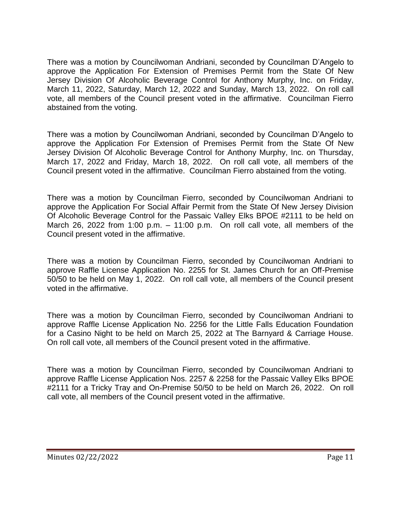There was a motion by Councilwoman Andriani, seconded by Councilman D'Angelo to approve the Application For Extension of Premises Permit from the State Of New Jersey Division Of Alcoholic Beverage Control for Anthony Murphy, Inc. on Friday, March 11, 2022, Saturday, March 12, 2022 and Sunday, March 13, 2022. On roll call vote, all members of the Council present voted in the affirmative. Councilman Fierro abstained from the voting.

There was a motion by Councilwoman Andriani, seconded by Councilman D'Angelo to approve the Application For Extension of Premises Permit from the State Of New Jersey Division Of Alcoholic Beverage Control for Anthony Murphy, Inc. on Thursday, March 17, 2022 and Friday, March 18, 2022. On roll call vote, all members of the Council present voted in the affirmative. Councilman Fierro abstained from the voting.

There was a motion by Councilman Fierro, seconded by Councilwoman Andriani to approve the Application For Social Affair Permit from the State Of New Jersey Division Of Alcoholic Beverage Control for the Passaic Valley Elks BPOE #2111 to be held on March 26, 2022 from 1:00 p.m.  $-$  11:00 p.m. On roll call vote, all members of the Council present voted in the affirmative.

There was a motion by Councilman Fierro, seconded by Councilwoman Andriani to approve Raffle License Application No. 2255 for St. James Church for an Off-Premise 50/50 to be held on May 1, 2022. On roll call vote, all members of the Council present voted in the affirmative.

There was a motion by Councilman Fierro, seconded by Councilwoman Andriani to approve Raffle License Application No. 2256 for the Little Falls Education Foundation for a Casino Night to be held on March 25, 2022 at The Barnyard & Carriage House. On roll call vote, all members of the Council present voted in the affirmative.

There was a motion by Councilman Fierro, seconded by Councilwoman Andriani to approve Raffle License Application Nos. 2257 & 2258 for the Passaic Valley Elks BPOE #2111 for a Tricky Tray and On-Premise 50/50 to be held on March 26, 2022. On roll call vote, all members of the Council present voted in the affirmative.